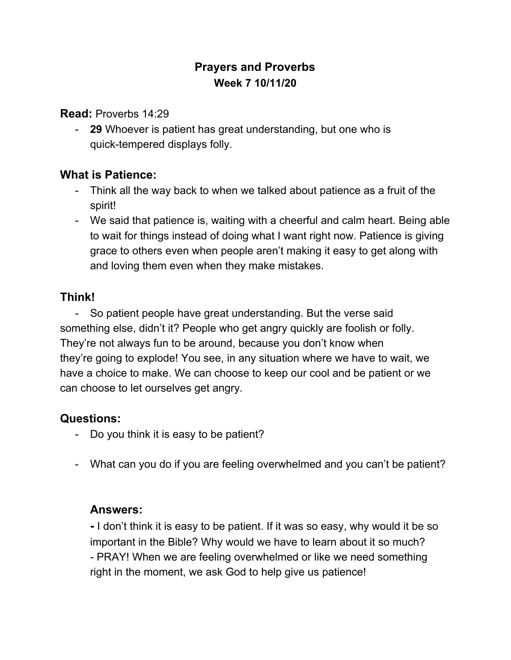# **Prayers and Proverbs Week 7 10/11/20**

**Read:** Proverbs 14:29

- **29** Whoever is patient has great understanding, but one who is quick-tempered displays folly.

#### **What is Patience:**

- Think all the way back to when we talked about patience as a fruit of the spirit!
- We said that patience is, waiting with a cheerful and calm heart. Being able to wait for things instead of doing what I want right now. Patience is giving grace to others even when people aren't making it easy to get along with and loving them even when they make mistakes.

# **Think!**

- So patient people have great understanding. But the verse said something else, didn't it? People who get angry quickly are foolish or folly. They're not always fun to be around, because you don't know when they're going to explode! You see, in any situation where we have to wait, we have a choice to make. We can choose to keep our cool and be patient or we can choose to let ourselves get angry.

# **Questions:**

- Do you think it is easy to be patient?
- What can you do if you are feeling overwhelmed and you can't be patient?

#### **Answers:**

**-** I don't think it is easy to be patient. If it was so easy, why would it be so important in the Bible? Why would we have to learn about it so much? - PRAY! When we are feeling overwhelmed or like we need something right in the moment, we ask God to help give us patience!